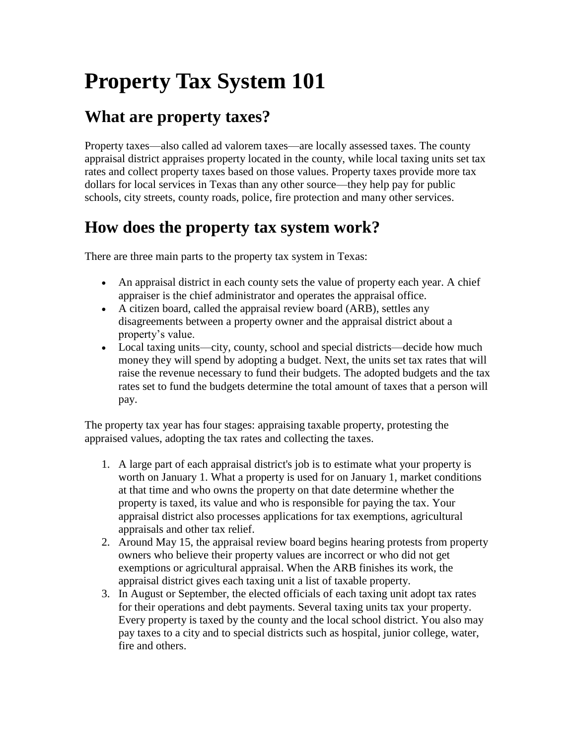# **Property Tax System 101**

### **What are property taxes?**

Property taxes—also called ad valorem taxes—are locally assessed taxes. The county appraisal district appraises property located in the county, while local taxing units set tax rates and collect property taxes based on those values. Property taxes provide more tax dollars for local services in Texas than any other source—they help pay for public schools, city streets, county roads, police, fire protection and many other services.

#### **How does the property tax system work?**

There are three main parts to the property tax system in Texas:

- An appraisal district in each county sets the value of property each year. A chief appraiser is the chief administrator and operates the appraisal office.
- A citizen board, called the appraisal review board (ARB), settles any disagreements between a property owner and the appraisal district about a property's value.
- Local taxing units—city, county, school and special districts—decide how much money they will spend by adopting a budget. Next, the units set tax rates that will raise the revenue necessary to fund their budgets. The adopted budgets and the tax rates set to fund the budgets determine the total amount of taxes that a person will pay.

The property tax year has four stages: appraising taxable property, protesting the appraised values, adopting the tax rates and collecting the taxes.

- 1. A large part of each appraisal district's job is to estimate what your property is worth on January 1. What a property is used for on January 1, market conditions at that time and who owns the property on that date determine whether the property is taxed, its value and who is responsible for paying the tax. Your appraisal district also processes applications for tax exemptions, agricultural appraisals and other tax relief.
- 2. Around May 15, the appraisal review board begins hearing protests from property owners who believe their property values are incorrect or who did not get exemptions or agricultural appraisal. When the ARB finishes its work, the appraisal district gives each taxing unit a list of taxable property.
- 3. In August or September, the elected officials of each taxing unit adopt tax rates for their operations and debt payments. Several taxing units tax your property. Every property is taxed by the county and the local school district. You also may pay taxes to a city and to special districts such as hospital, junior college, water, fire and others.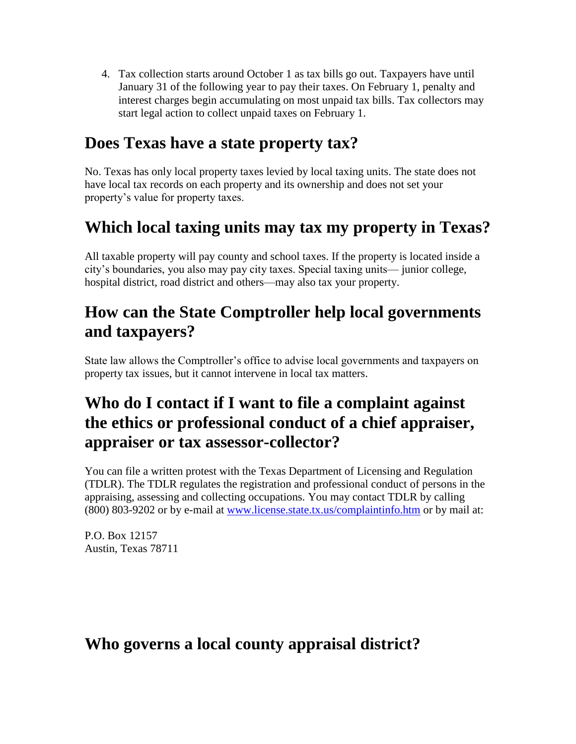4. Tax collection starts around October 1 as tax bills go out. Taxpayers have until January 31 of the following year to pay their taxes. On February 1, penalty and interest charges begin accumulating on most unpaid tax bills. Tax collectors may start legal action to collect unpaid taxes on February 1.

#### **Does Texas have a state property tax?**

No. Texas has only local property taxes levied by local taxing units. The state does not have local tax records on each property and its ownership and does not set your property's value for property taxes.

## **Which local taxing units may tax my property in Texas?**

All taxable property will pay county and school taxes. If the property is located inside a city's boundaries, you also may pay city taxes. Special taxing units— junior college, hospital district, road district and others—may also tax your property.

#### **How can the State Comptroller help local governments and taxpayers?**

State law allows the Comptroller's office to advise local governments and taxpayers on property tax issues, but it cannot intervene in local tax matters.

### **Who do I contact if I want to file a complaint against the ethics or professional conduct of a chief appraiser, appraiser or tax assessor-collector?**

You can file a written protest with the Texas Department of Licensing and Regulation (TDLR). The TDLR regulates the registration and professional conduct of persons in the appraising, assessing and collecting occupations. You may contact TDLR by calling (800) 803-9202 or by e-mail at [www.license.state.tx.us/complaintinfo.htm](http://www.license.state.tx.us/complaintinfo.htm) or by mail at:

P.O. Box 12157 Austin, Texas 78711

#### **Who governs a local county appraisal district?**